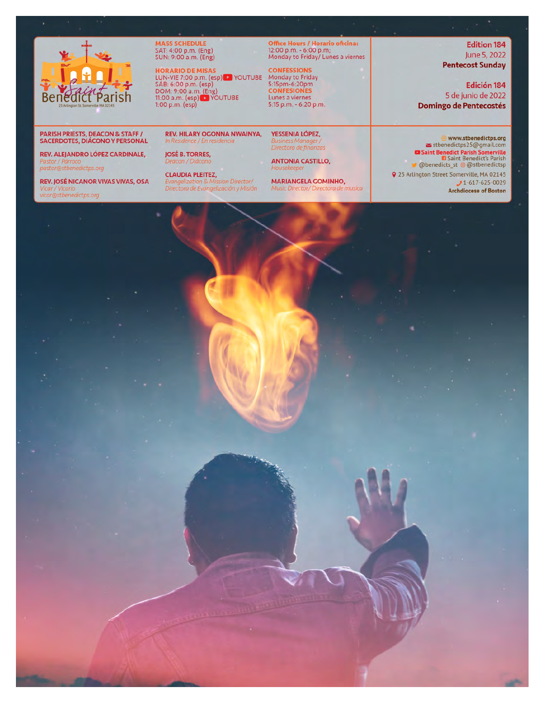

MASS SCHEDULE<br>SAT: 4:00 p.m. (Eng)<br>SUN: 9:00 a.m. (Eng)

HORARIO DE MISAS<br>LUN-VIE 7:00 p.m. (esp) De YouTUBE<br>SÁB: 6:00 p.m. (esp)<br>DOM: 9:00 a.m. (Eng)<br>11:00 a.m. (esp) De YouTUBE 1:00 p.m. (esp)

**Office Hours / Horario oficina:**<br>12:00 p.m. - 6:00 p.m;<br>Monday to Friday/ Lunes a viernes

**CONFESSIONS** Monday to Friday 5:15pm-6:20pm Lunes a viernes 5:15 p.m. - 6:20 p.m.

**REV. HILARY OGONNA NWAINYA,** YESSENIA LÓPEZ, Directora de finanzas

**ANTONIA CASTILLO,** 

**MARIANGELA GOMINHO,** 

**Edition 184** June 5, 2022 **Pentecost Sunday** 

Edición 184 5 de junio de 2022 **Domingo de Pentecostés** 

#### **PARISH PRIESTS, DEACON & STAFF / SACERDOTES, DIÁCONO Y PERSONAL**

REV. ALEJANDRO LÓPEZ CARDINALE, pastor@stbenedictps.org

REV. JOSÉ NICANOR VIVAS VIVAS, OSA ar@stbenedictps.org

Deacon / Diácono **CLAUDIA PLEITEZ,** Evangelization & Mission Director/<br>Directora de Evangelización y Misión

**JOSÉ B. TORRES,** 

In Residence / En residencia

Music Director/ Directora de musica

www.stbenedictps.org stbenedictps25@gmail.com ■ Saint Benedict Parish Somerville<br>■ Saint Benedict's Parish<br>● @ benedicts\_st @ @ stbenedictsp

Q 25 Arlington Street Somerville, MA 02145  $J1-617-625-0029$ Archdiocese of Boston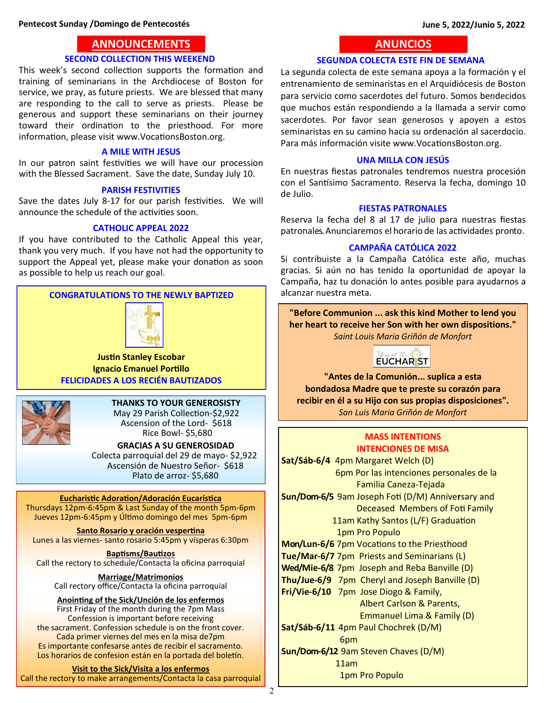## **ANNOUNCEMENTS ANNOUNCEMENTS**

## **SECOND COLLECTION THIS WEEKEND**

This week's second collection supports the formation and training of seminarians in the Archdiocese of Boston for service, we pray, as future priests. We are blessed that many are responding to the call to serve as priests. Please be generous and support these seminarians on their journey toward their ordination to the priesthood. For more information, please visit [www.VocationsBoston.org.](http://www.VocationsBoston.org)

## **A MILE WITH JESUS**

In our patron saint festivities we will have our procession with the Blessed Sacrament. Save the date, Sunday July 10.

## **PARISH FESTIVITIES**

Save the dates July 8-17 for our parish festivities. We will announce the schedule of the activities soon.

## **CATHOLIC APPEAL 2022**

If you have contributed to the Catholic Appeal this year, thank you very much. If you have not had the opportunity to support the Appeal yet, please make your donation as soon as possible to help us reach our goal.

## **CONGRATULATIONS TO THE NEWLY BAPTIZED**



**Justin Stanley Escobar Ignacio Emanuel Portillo FELICIDADES A LOS RECIÉN BAUTIZADOS**



## **THANKS TO YOUR GENEROSISTY**

 May 29 Parish Collection-\$2,922 Ascension of the Lord- \$618 Rice Bowl- \$5,680

 **GRACIAS A SU GENEROSIDAD**  Colecta parroquial del 29 de mayo- \$2,922 Ascensión de Nuestro Señor- \$618 Plato de arroz- \$5,680

## **Eucharistic Adoration/Adoración Eucarística**

Thursdays 12pm-6:45pm & Last Sunday of the month 5pm-6pm Jueves 12pm-6:45pm y Último domingo del mes 5pm-6pm

**Santo Rosario y oración vespertina** Lunes a las viernes- santo rosario 5:45pm y vísperas 6:30pm

**Baptisms/Bautizos** Call the rectory to schedule/Contacta la oficina parroquial

**Marriage/Matrimonios** Call rectory office/Contacta la oficina parroquial

**Anointing of the Sick/Unción de los enfermos** First Friday of the month during the 7pm Mass Confession is important before receiving the sacrament. Confession schedule is on the front cover. Cada primer viernes del mes en la misa de7pm Es importante confesarse antes de recibir el sacramento. Los horarios de confesion están en la portada del boletín.

## **Visit to the Sick/Visita a los enfermos**

Call the rectory to make arrangements/Contacta la casa parroquial

# **ANUNCIOS ANUNCIOS**

## **SEGUNDA COLECTA ESTE FIN DE SEMANA**

La segunda colecta de este semana apoya a la formación y el entrenamiento de seminaristas en el Arquidiócesis de Boston para servicio como sacerdotes del futuro. Somos bendecidos que muchos están respondiendo a la llamada a servir como sacerdotes. Por favor sean generosos y apoyen a estos seminaristas en su camino hacia su ordenación al sacerdocio. Para más información visite [www.VocationsBoston.org.](www.VocationsBoston.org)

## **UNA MILLA CON JESÚS**

En nuestras fiestas patronales tendremos nuestra procesión con el Santísimo Sacramento. Reserva la fecha, domingo 10 de Julio.

## **FIESTAS PATRONALES**

Reserva la fecha del 8 al 17 de julio para nuestras fiestas patronales. Anunciaremos el horario de las actividades pronto.

## **CAMPAÑA CATÓLICA 2022**

Si contribuiste a la Campaña Católica este año, muchas gracias. Si aún no has tenido la oportunidad de apoyar la Campaña, haz tu donación lo antes posible para ayudarnos a alcanzar nuestra meta.

**"Before Communion ... ask this kind Mother to lend you her heart to receive her Son with her own dispositions."** *Saint Louis Maria Griñón de Monfort*



**"Antes de la Comunión... suplica a esta bondadosa Madre que te preste su corazón para recibir en él a su Hijo con sus propias disposiciones".** *San Luis Maria Griñón de Monfort*

## **MASS INTENTIONS INTENCIONES DE MISA**

**Sat/Sáb-6/4** 4pm Margaret Welch (D) 6pm Por las intenciones personales de la Familia Caneza-Tejada **Sun/Dom-6/5** 9am Joseph Foti (D/M) Annive**r**sary and Deceased Members of Foti Family 11am Kathy Santos (L/F) Graduation 1pm Pro Populo **Mon/Lun-6/6** 7pm Vocations to the Priesthood **Tue/Mar-6/7** 7pm Priests and Seminarians (L) **Wed/Mie-6/8** 7pm Joseph and Reba Banville (D) **Thu/Jue-6/9** 7pm Cheryl and Joseph Banville (D) **Fri/Vie-6/10** 7pm Jose Diogo & Family, Albert Carlson & Parents, Emmanuel Lima & Family (D) **Sat/Sáb-6/11** 4pm Paul Chochrek (D/M) 6pm **Sun/Dom-6/12** 9am Steven Chaves (D/M) 11am 1pm Pro Populo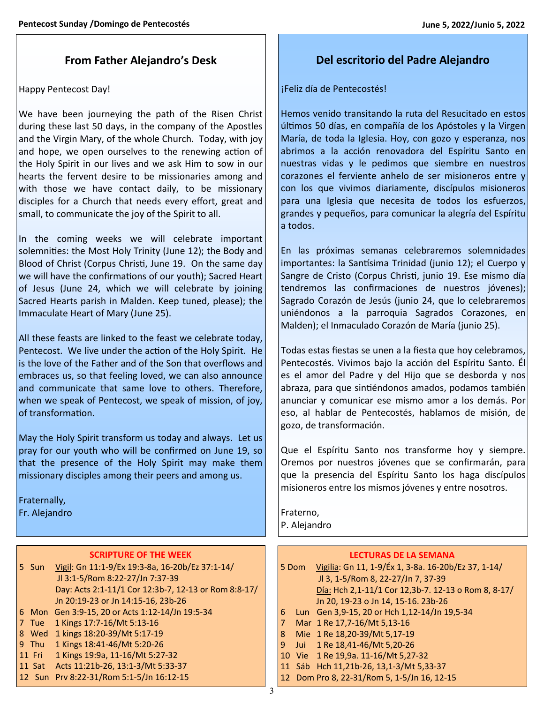# **From Father Alejandro's Desk**

## Happy Pentecost Day!

We have been journeying the path of the Risen Christ during these last 50 days, in the company of the Apostles and the Virgin Mary, of the whole Church. Today, with joy and hope, we open ourselves to the renewing action of the Holy Spirit in our lives and we ask Him to sow in our hearts the fervent desire to be missionaries among and with those we have contact daily, to be missionary disciples for a Church that needs every effort, great and small, to communicate the joy of the Spirit to all.

In the coming weeks we will celebrate important solemnities: the Most Holy Trinity (June 12); the Body and Blood of Christ (Corpus Christi, June 19. On the same day we will have the confirmations of our youth); Sacred Heart of Jesus (June 24, which we will celebrate by joining Sacred Hearts parish in Malden. Keep tuned, please); the Immaculate Heart of Mary (June 25).

All these feasts are linked to the feast we celebrate today, Pentecost. We live under the action of the Holy Spirit. He is the love of the Father and of the Son that overflows and embraces us, so that feeling loved, we can also announce and communicate that same love to others. Therefore, when we speak of Pentecost, we speak of mission, of joy, of transformation.

May the Holy Spirit transform us today and always. Let us pray for our youth who will be confirmed on June 19, so that the presence of the Holy Spirit may make them missionary disciples among their peers and among us.

Fraternally, Fr. Alejandro

## **SCRIPTURE OF THE WEEK**

|   | 5 Sun  | Vigil: Gn 11:1-9/Ex 19:3-8a, 16-20b/Ez 37:1-14/      |
|---|--------|------------------------------------------------------|
|   |        | Jl 3:1-5/Rom 8:22-27/Jn 7:37-39                      |
|   |        | Day: Acts 2:1-11/1 Cor 12:3b-7, 12-13 or Rom 8:8-17/ |
|   |        | Jn 20:19-23 or Jn 14:15-16, 23b-26                   |
|   |        | 6 Mon Gen 3:9-15, 20 or Acts 1:12-14/Jn 19:5-34      |
|   | Tue    | 1 Kings 17:7-16/Mt 5:13-16                           |
| 8 | Wed    | 1 kings 18:20-39/Mt 5:17-19                          |
|   | 9 Thu  | 1 Kings 18:41-46/Mt 5:20-26                          |
|   | 11 Fri | 1 Kings 19:9a, 11-16/Mt 5:27-32                      |
|   | 11 Sat | Acts 11:21b-26, 13:1-3/Mt 5:33-37                    |
|   | 12 Sun | Prv 8:22-31/Rom 5:1-5/Jn 16:12-15                    |

## **Del escritorio del Padre Alejandro**

¡Feliz día de Pentecostés!

Hemos venido transitando la ruta del Resucitado en estos últimos 50 días, en compañía de los Apóstoles y la Virgen María, de toda la Iglesia. Hoy, con gozo y esperanza, nos abrimos a la acción renovadora del Espíritu Santo en nuestras vidas y le pedimos que siembre en nuestros corazones el ferviente anhelo de ser misioneros entre y con los que vivimos diariamente, discípulos misioneros para una Iglesia que necesita de todos los esfuerzos, grandes y pequeños, para comunicar la alegría del Espíritu a todos.

En las próximas semanas celebraremos solemnidades importantes: la Santísima Trinidad (junio 12); el Cuerpo y Sangre de Cristo (Corpus Christi, junio 19. Ese mismo día tendremos las confirmaciones de nuestros jóvenes); Sagrado Corazón de Jesús (junio 24, que lo celebraremos uniéndonos a la parroquia Sagrados Corazones, en Malden); el Inmaculado Corazón de María (junio 25).

Todas estas fiestas se unen a la fiesta que hoy celebramos, Pentecostés. Vivimos bajo la acción del Espíritu Santo. Él es el amor del Padre y del Hijo que se desborda y nos abraza, para que sintiéndonos amados, podamos también anunciar y comunicar ese mismo amor a los demás. Por eso, al hablar de Pentecostés, hablamos de misión, de gozo, de transformación.

Que el Espíritu Santo nos transforme hoy y siempre. Oremos por nuestros jóvenes que se confirmarán, para que la presencia del Espíritu Santo los haga discípulos misioneros entre los mismos jóvenes y entre nosotros.

Fraterno, P. Alejandro

## **LECTURAS DE LA SEMANA**

5 Dom Vigilia: Gn 11, 1-9/Éx 1, 3-8a. 16-20b/Ez 37, 1-14/ Jl 3, 1-5/Rom 8, 22-27/Jn 7, 37-39 Día: Hch 2,1-11/1 Cor 12,3b-7. 12-13 o Rom 8, 8-17/ Jn 20, 19-23 o Jn 14, 15-16. 23b-26 6 Lun Gen 3,9-15, 20 or Hch 1,12-14/Jn 19,5-34

- 7 Mar 1 Re 17,7-16/Mt 5,13-16
- 8 Mie 1 Re 18,20-39/Mt 5,17-19
- 9 Jui 1 Re 18,41-46/Mt 5,20-26
- 10 Vie 1 Re 19,9a. 11-16/Mt 5,27-32
- 11 Sáb Hch 11,21b-26, 13,1-3/Mt 5,33-37
- 12 Dom Pro 8, 22-31/Rom 5, 1-5/Jn 16, 12-15